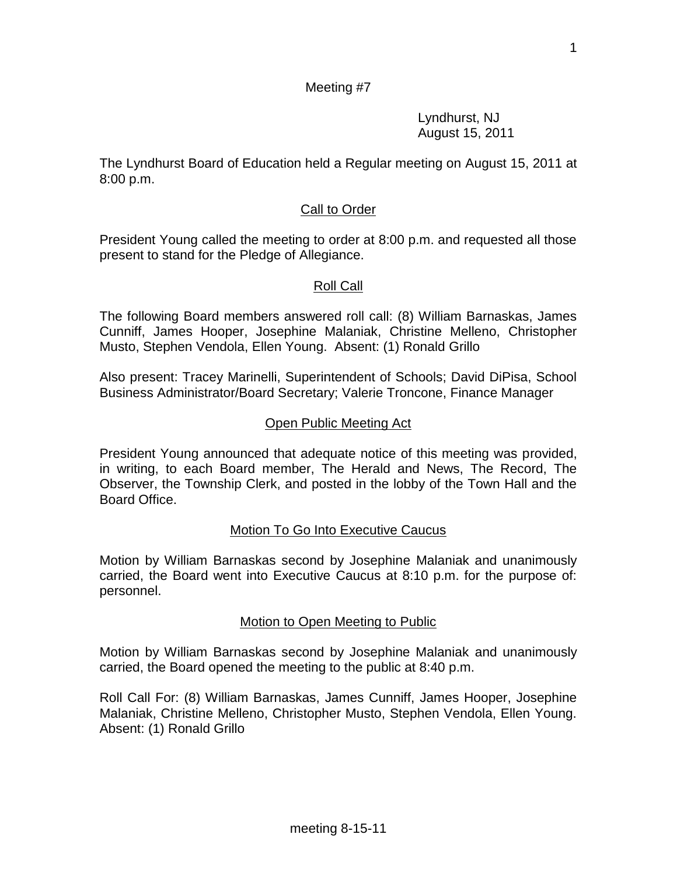1

#### Meeting #7

Lyndhurst, NJ August 15, 2011

The Lyndhurst Board of Education held a Regular meeting on August 15, 2011 at 8:00 p.m.

# Call to Order

President Young called the meeting to order at 8:00 p.m. and requested all those present to stand for the Pledge of Allegiance.

## Roll Call

The following Board members answered roll call: (8) William Barnaskas, James Cunniff, James Hooper, Josephine Malaniak, Christine Melleno, Christopher Musto, Stephen Vendola, Ellen Young. Absent: (1) Ronald Grillo

Also present: Tracey Marinelli, Superintendent of Schools; David DiPisa, School Business Administrator/Board Secretary; Valerie Troncone, Finance Manager

#### Open Public Meeting Act

President Young announced that adequate notice of this meeting was provided, in writing, to each Board member, The Herald and News, The Record, The Observer, the Township Clerk, and posted in the lobby of the Town Hall and the Board Office.

## Motion To Go Into Executive Caucus

Motion by William Barnaskas second by Josephine Malaniak and unanimously carried, the Board went into Executive Caucus at 8:10 p.m. for the purpose of: personnel.

#### Motion to Open Meeting to Public

Motion by William Barnaskas second by Josephine Malaniak and unanimously carried, the Board opened the meeting to the public at 8:40 p.m.

Roll Call For: (8) William Barnaskas, James Cunniff, James Hooper, Josephine Malaniak, Christine Melleno, Christopher Musto, Stephen Vendola, Ellen Young. Absent: (1) Ronald Grillo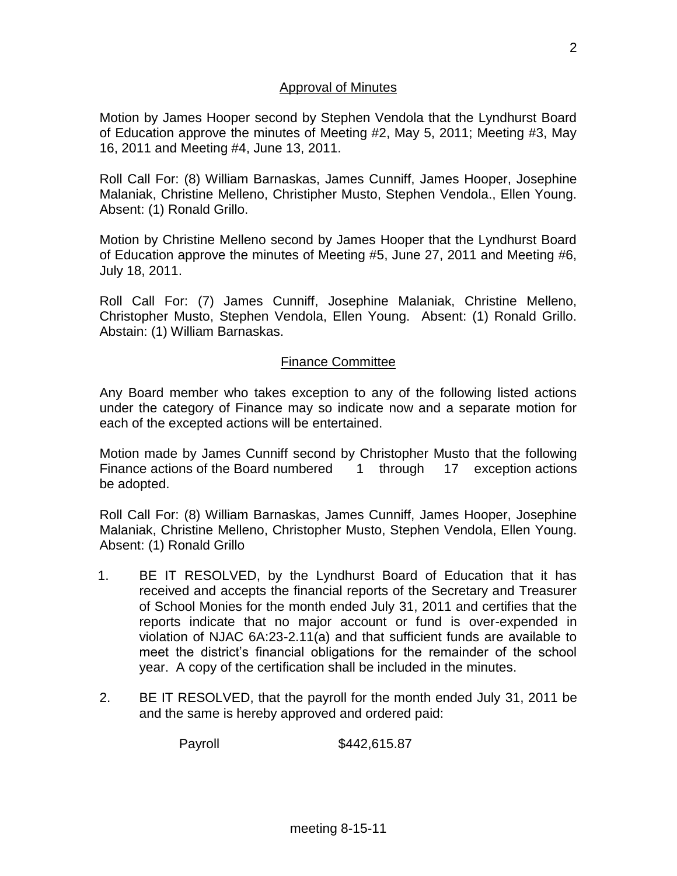#### Approval of Minutes

Motion by James Hooper second by Stephen Vendola that the Lyndhurst Board of Education approve the minutes of Meeting #2, May 5, 2011; Meeting #3, May 16, 2011 and Meeting #4, June 13, 2011.

Roll Call For: (8) William Barnaskas, James Cunniff, James Hooper, Josephine Malaniak, Christine Melleno, Christipher Musto, Stephen Vendola., Ellen Young. Absent: (1) Ronald Grillo.

Motion by Christine Melleno second by James Hooper that the Lyndhurst Board of Education approve the minutes of Meeting #5, June 27, 2011 and Meeting #6, July 18, 2011.

Roll Call For: (7) James Cunniff, Josephine Malaniak, Christine Melleno, Christopher Musto, Stephen Vendola, Ellen Young. Absent: (1) Ronald Grillo. Abstain: (1) William Barnaskas.

#### Finance Committee

Any Board member who takes exception to any of the following listed actions under the category of Finance may so indicate now and a separate motion for each of the excepted actions will be entertained.

Motion made by James Cunniff second by Christopher Musto that the following Finance actions of the Board numbered 1 through 17 exception actions be adopted.

Roll Call For: (8) William Barnaskas, James Cunniff, James Hooper, Josephine Malaniak, Christine Melleno, Christopher Musto, Stephen Vendola, Ellen Young. Absent: (1) Ronald Grillo

- 1. BE IT RESOLVED, by the Lyndhurst Board of Education that it has received and accepts the financial reports of the Secretary and Treasurer of School Monies for the month ended July 31, 2011 and certifies that the reports indicate that no major account or fund is over-expended in violation of NJAC 6A:23-2.11(a) and that sufficient funds are available to meet the district's financial obligations for the remainder of the school year. A copy of the certification shall be included in the minutes.
- 2. BE IT RESOLVED, that the payroll for the month ended July 31, 2011 be and the same is hereby approved and ordered paid:

Payroll \$442,615.87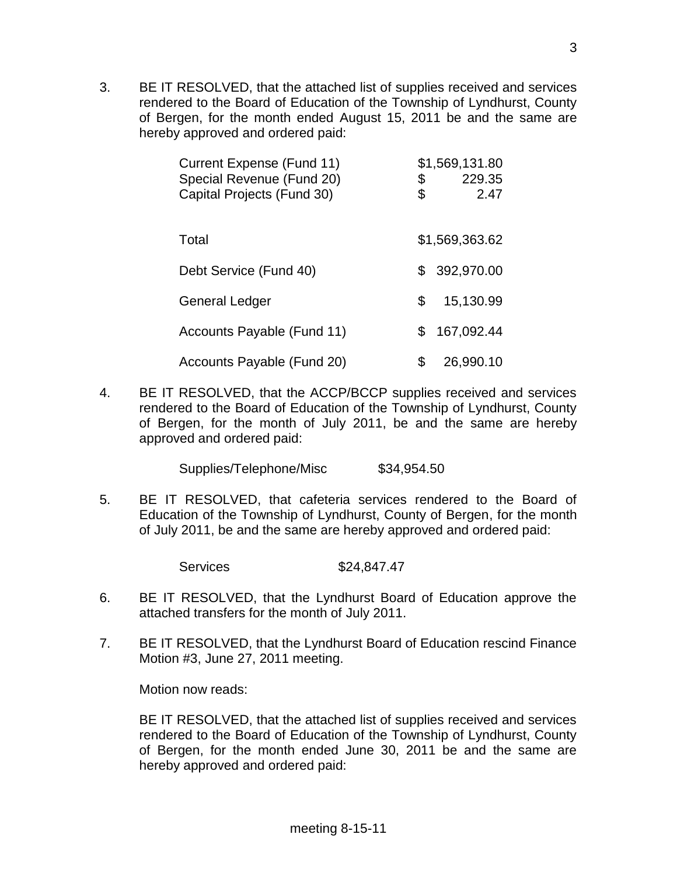3. BE IT RESOLVED, that the attached list of supplies received and services rendered to the Board of Education of the Township of Lyndhurst, County of Bergen, for the month ended August 15, 2011 be and the same are hereby approved and ordered paid:

| Current Expense (Fund 11)  |     | \$1,569,131.80 |
|----------------------------|-----|----------------|
| Special Revenue (Fund 20)  | \$  | 229.35         |
| Capital Projects (Fund 30) | \$  | 2.47           |
|                            |     |                |
| Total                      |     | \$1,569,363.62 |
|                            |     |                |
| Debt Service (Fund 40)     | \$  | 392,970.00     |
| General Ledger             | \$. | 15,130.99      |
|                            |     |                |
| Accounts Payable (Fund 11) | \$  | 167,092.44     |
|                            |     |                |
| Accounts Payable (Fund 20) |     | 26,990.10      |

4. BE IT RESOLVED, that the ACCP/BCCP supplies received and services rendered to the Board of Education of the Township of Lyndhurst, County of Bergen, for the month of July 2011, be and the same are hereby approved and ordered paid:

Supplies/Telephone/Misc \$34,954.50

5. BE IT RESOLVED, that cafeteria services rendered to the Board of Education of the Township of Lyndhurst, County of Bergen, for the month of July 2011, be and the same are hereby approved and ordered paid:

Services \$24,847.47

- 6. BE IT RESOLVED, that the Lyndhurst Board of Education approve the attached transfers for the month of July 2011.
- 7. BE IT RESOLVED, that the Lyndhurst Board of Education rescind Finance Motion #3, June 27, 2011 meeting.

Motion now reads:

BE IT RESOLVED, that the attached list of supplies received and services rendered to the Board of Education of the Township of Lyndhurst, County of Bergen, for the month ended June 30, 2011 be and the same are hereby approved and ordered paid: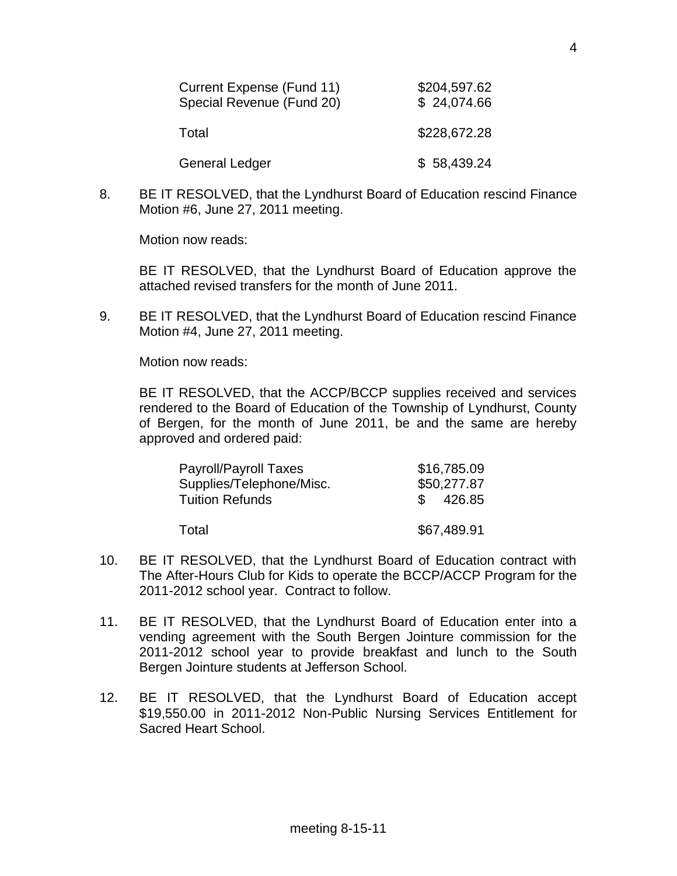| Current Expense (Fund 11)<br>Special Revenue (Fund 20) | \$204,597.62<br>\$24,074.66 |
|--------------------------------------------------------|-----------------------------|
| Total                                                  | \$228,672.28                |
| <b>General Ledger</b>                                  | \$58,439.24                 |

8. BE IT RESOLVED, that the Lyndhurst Board of Education rescind Finance Motion #6, June 27, 2011 meeting.

Motion now reads:

BE IT RESOLVED, that the Lyndhurst Board of Education approve the attached revised transfers for the month of June 2011.

9. BE IT RESOLVED, that the Lyndhurst Board of Education rescind Finance Motion #4, June 27, 2011 meeting.

Motion now reads:

BE IT RESOLVED, that the ACCP/BCCP supplies received and services rendered to the Board of Education of the Township of Lyndhurst, County of Bergen, for the month of June 2011, be and the same are hereby approved and ordered paid:

| <b>Payroll/Payroll Taxes</b> | \$16,785.09 |
|------------------------------|-------------|
| Supplies/Telephone/Misc.     | \$50,277.87 |
| <b>Tuition Refunds</b>       | \$426.85    |
|                              |             |
| Total                        | \$67,489.91 |

- 10. BE IT RESOLVED, that the Lyndhurst Board of Education contract with The After-Hours Club for Kids to operate the BCCP/ACCP Program for the 2011-2012 school year. Contract to follow.
- 11. BE IT RESOLVED, that the Lyndhurst Board of Education enter into a vending agreement with the South Bergen Jointure commission for the 2011-2012 school year to provide breakfast and lunch to the South Bergen Jointure students at Jefferson School.
- 12. BE IT RESOLVED, that the Lyndhurst Board of Education accept \$19,550.00 in 2011-2012 Non-Public Nursing Services Entitlement for Sacred Heart School.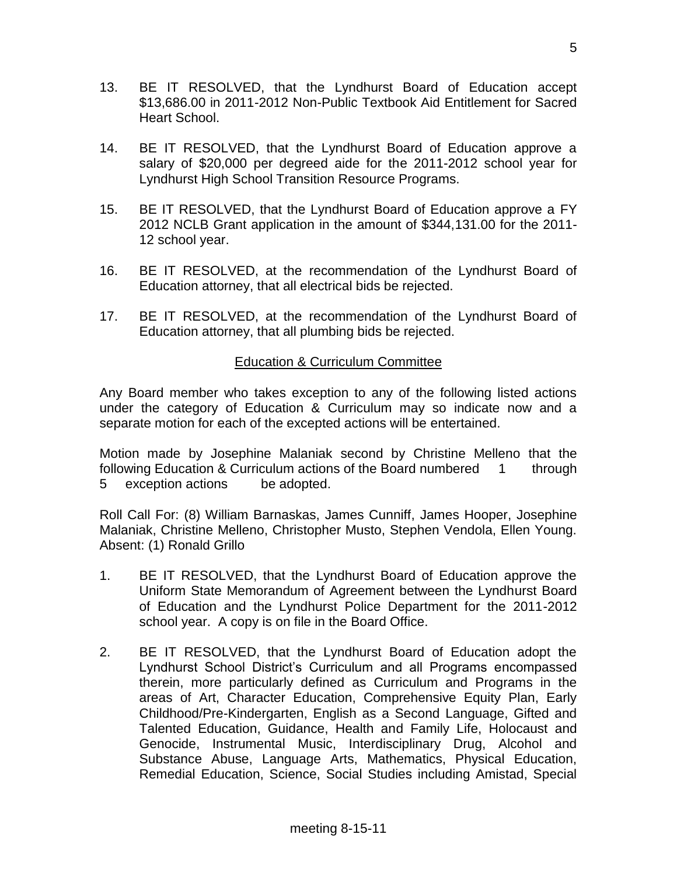- 13. BE IT RESOLVED, that the Lyndhurst Board of Education accept \$13,686.00 in 2011-2012 Non-Public Textbook Aid Entitlement for Sacred Heart School.
- 14. BE IT RESOLVED, that the Lyndhurst Board of Education approve a salary of \$20,000 per degreed aide for the 2011-2012 school year for Lyndhurst High School Transition Resource Programs.
- 15. BE IT RESOLVED, that the Lyndhurst Board of Education approve a FY 2012 NCLB Grant application in the amount of \$344,131.00 for the 2011- 12 school year.
- 16. BE IT RESOLVED, at the recommendation of the Lyndhurst Board of Education attorney, that all electrical bids be rejected.
- 17. BE IT RESOLVED, at the recommendation of the Lyndhurst Board of Education attorney, that all plumbing bids be rejected.

## Education & Curriculum Committee

Any Board member who takes exception to any of the following listed actions under the category of Education & Curriculum may so indicate now and a separate motion for each of the excepted actions will be entertained.

Motion made by Josephine Malaniak second by Christine Melleno that the following Education & Curriculum actions of the Board numbered 1 through 5 exception actions be adopted.

Roll Call For: (8) William Barnaskas, James Cunniff, James Hooper, Josephine Malaniak, Christine Melleno, Christopher Musto, Stephen Vendola, Ellen Young. Absent: (1) Ronald Grillo

- 1. BE IT RESOLVED, that the Lyndhurst Board of Education approve the Uniform State Memorandum of Agreement between the Lyndhurst Board of Education and the Lyndhurst Police Department for the 2011-2012 school year. A copy is on file in the Board Office.
- 2. BE IT RESOLVED, that the Lyndhurst Board of Education adopt the Lyndhurst School District's Curriculum and all Programs encompassed therein, more particularly defined as Curriculum and Programs in the areas of Art, Character Education, Comprehensive Equity Plan, Early Childhood/Pre-Kindergarten, English as a Second Language, Gifted and Talented Education, Guidance, Health and Family Life, Holocaust and Genocide, Instrumental Music, Interdisciplinary Drug, Alcohol and Substance Abuse, Language Arts, Mathematics, Physical Education, Remedial Education, Science, Social Studies including Amistad, Special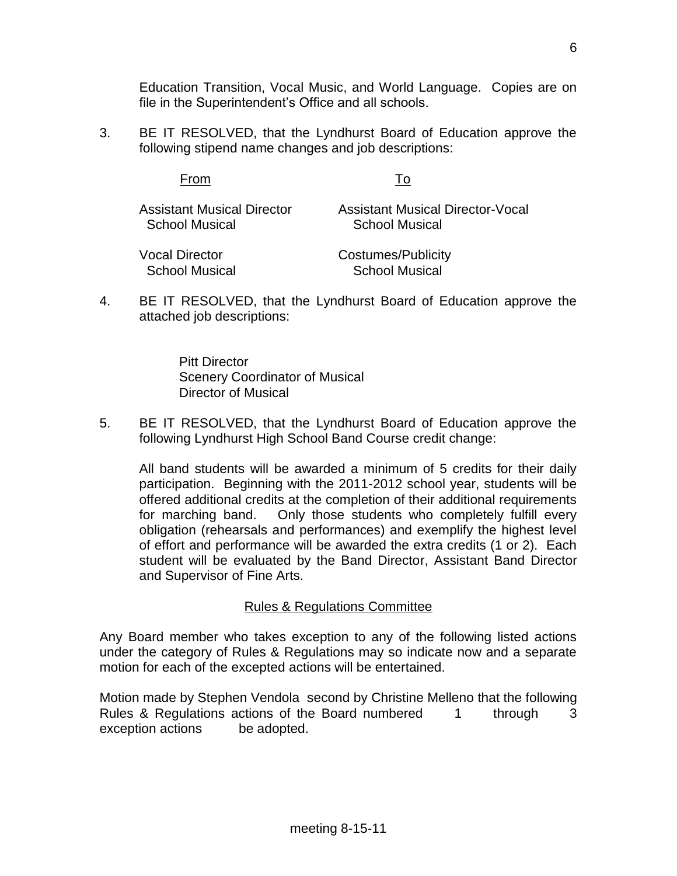Education Transition, Vocal Music, and World Language. Copies are on file in the Superintendent's Office and all schools.

3. BE IT RESOLVED, that the Lyndhurst Board of Education approve the following stipend name changes and job descriptions:

| Assistant Musical Director | <b>Assistant Musical Director-Vocal</b> |
|----------------------------|-----------------------------------------|
| <b>School Musical</b>      | <b>School Musical</b>                   |
|                            |                                         |

| Vocal Director        | Costumes/Publicity    |
|-----------------------|-----------------------|
| <b>School Musical</b> | <b>School Musical</b> |

From To

4. BE IT RESOLVED, that the Lyndhurst Board of Education approve the attached job descriptions:

> Pitt Director Scenery Coordinator of Musical Director of Musical

5. BE IT RESOLVED, that the Lyndhurst Board of Education approve the following Lyndhurst High School Band Course credit change:

All band students will be awarded a minimum of 5 credits for their daily participation. Beginning with the 2011-2012 school year, students will be offered additional credits at the completion of their additional requirements for marching band. Only those students who completely fulfill every obligation (rehearsals and performances) and exemplify the highest level of effort and performance will be awarded the extra credits (1 or 2). Each student will be evaluated by the Band Director, Assistant Band Director and Supervisor of Fine Arts.

## Rules & Regulations Committee

Any Board member who takes exception to any of the following listed actions under the category of Rules & Regulations may so indicate now and a separate motion for each of the excepted actions will be entertained.

Motion made by Stephen Vendola second by Christine Melleno that the following Rules & Regulations actions of the Board numbered 1 through 3 exception actions be adopted.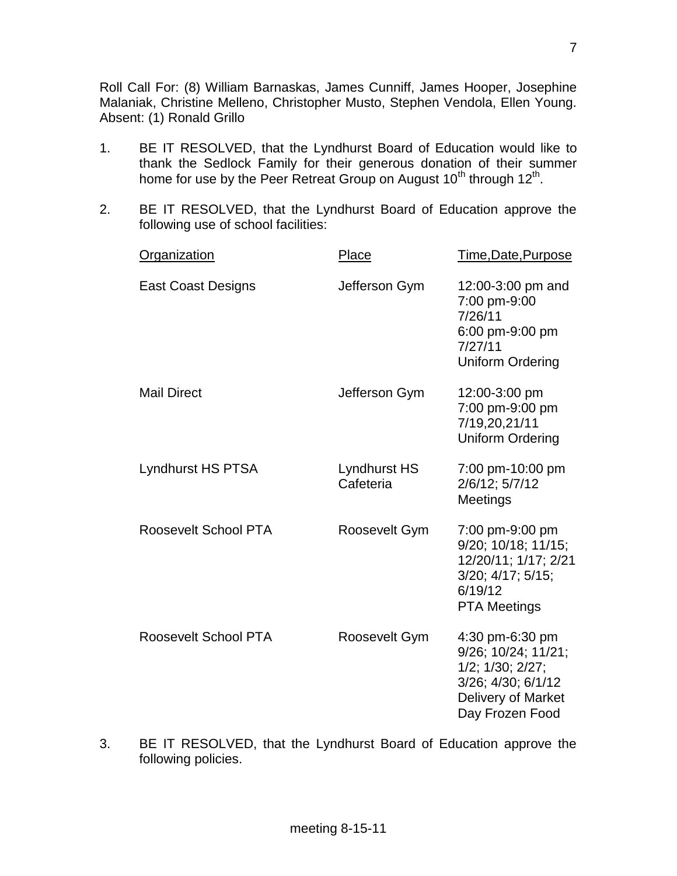Roll Call For: (8) William Barnaskas, James Cunniff, James Hooper, Josephine Malaniak, Christine Melleno, Christopher Musto, Stephen Vendola, Ellen Young. Absent: (1) Ronald Grillo

- 1. BE IT RESOLVED, that the Lyndhurst Board of Education would like to thank the Sedlock Family for their generous donation of their summer home for use by the Peer Retreat Group on August 10<sup>th</sup> through 12<sup>th</sup>.
- 2. BE IT RESOLVED, that the Lyndhurst Board of Education approve the following use of school facilities:

| <b>Organization</b>       | Place                     | Time, Date, Purpose                                                                                                       |
|---------------------------|---------------------------|---------------------------------------------------------------------------------------------------------------------------|
| <b>East Coast Designs</b> | Jefferson Gym             | 12:00-3:00 pm and<br>7:00 pm-9:00<br>7/26/11<br>6:00 pm-9:00 pm<br>7/27/11<br><b>Uniform Ordering</b>                     |
| <b>Mail Direct</b>        | Jefferson Gym             | 12:00-3:00 pm<br>7:00 pm-9:00 pm<br>7/19,20,21/11<br><b>Uniform Ordering</b>                                              |
| Lyndhurst HS PTSA         | Lyndhurst HS<br>Cafeteria | 7:00 pm-10:00 pm<br>2/6/12; 5/7/12<br>Meetings                                                                            |
| Roosevelt School PTA      | Roosevelt Gym             | 7:00 pm-9:00 pm<br>9/20; 10/18; 11/15;<br>12/20/11; 1/17; 2/21<br>3/20; 4/17; 5/15;<br>6/19/12<br><b>PTA Meetings</b>     |
| Roosevelt School PTA      | Roosevelt Gym             | 4:30 pm-6:30 pm<br>9/26; 10/24; 11/21;<br>1/2; 1/30; 2/27;<br>3/26; 4/30; 6/1/12<br>Delivery of Market<br>Day Frozen Food |

3. BE IT RESOLVED, that the Lyndhurst Board of Education approve the following policies.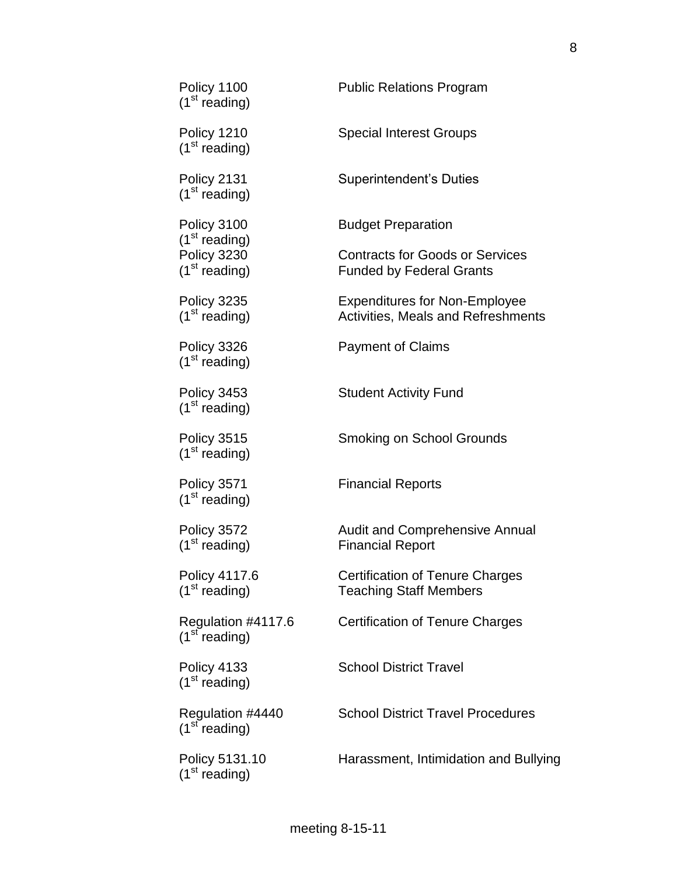| Policy 1100<br>(1 <sup>st</sup> reading)        | <b>Public Relations Program</b>                                            |
|-------------------------------------------------|----------------------------------------------------------------------------|
| Policy 1210<br>(1 <sup>st</sup> reading)        | <b>Special Interest Groups</b>                                             |
| Policy 2131<br>(1 <sup>st</sup> reading)        | <b>Superintendent's Duties</b>                                             |
| Policy 3100<br>(1 <sup>st</sup> reading)        | <b>Budget Preparation</b>                                                  |
| Policy 3230<br>(1 <sup>st</sup> reading)        | <b>Contracts for Goods or Services</b><br><b>Funded by Federal Grants</b>  |
| Policy 3235<br>(1 <sup>st</sup> reading)        | <b>Expenditures for Non-Employee</b><br>Activities, Meals and Refreshments |
| Policy 3326<br>(1 <sup>st</sup> reading)        | <b>Payment of Claims</b>                                                   |
| Policy 3453<br>(1 <sup>st</sup> reading)        | <b>Student Activity Fund</b>                                               |
| Policy 3515<br>(1 <sup>st</sup> reading)        | <b>Smoking on School Grounds</b>                                           |
| Policy 3571<br>(1 <sup>st</sup> reading)        | <b>Financial Reports</b>                                                   |
| Policy 3572<br>(1 <sup>st</sup> reading)        | <b>Audit and Comprehensive Annual</b><br><b>Financial Report</b>           |
| Policy 4117.6<br>(1 <sup>st</sup> reading)      | <b>Certification of Tenure Charges</b><br><b>Teaching Staff Members</b>    |
| Regulation #4117.6<br>(1 <sup>st</sup> reading) | <b>Certification of Tenure Charges</b>                                     |
| Policy 4133<br>(1 <sup>st</sup> reading)        | <b>School District Travel</b>                                              |
| Regulation #4440<br>(1 <sup>st</sup> reading)   | <b>School District Travel Procedures</b>                                   |
| Policy 5131.10<br>(1 <sup>st</sup> reading)     | Harassment, Intimidation and Bullying                                      |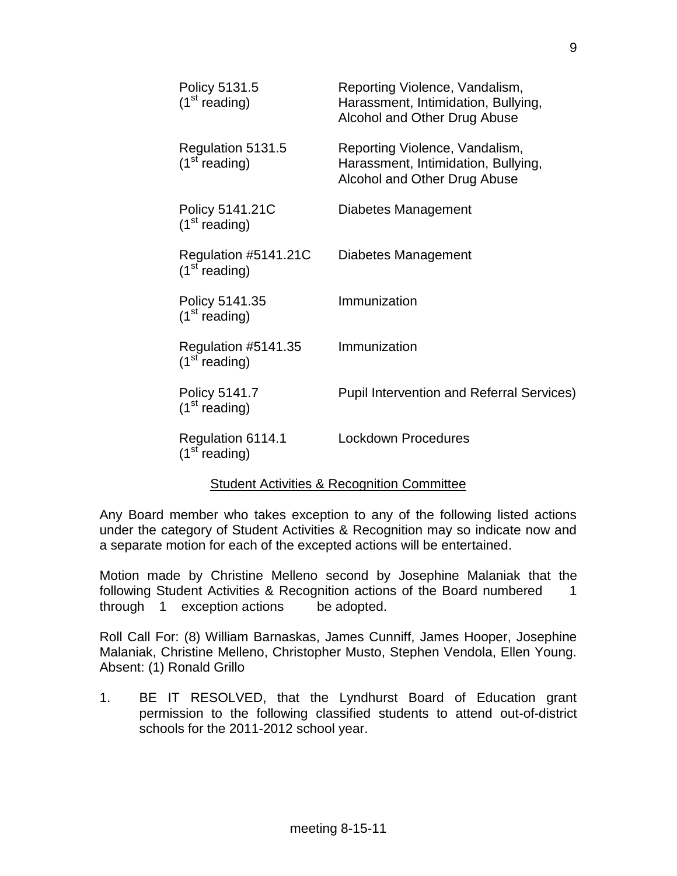| Policy 5131.5<br>(1 <sup>st</sup> reading)        | Reporting Violence, Vandalism,<br>Harassment, Intimidation, Bullying,<br>Alcohol and Other Drug Abuse |
|---------------------------------------------------|-------------------------------------------------------------------------------------------------------|
| Regulation 5131.5<br>(1 <sup>st</sup> reading)    | Reporting Violence, Vandalism,<br>Harassment, Intimidation, Bullying,<br>Alcohol and Other Drug Abuse |
| Policy 5141.21C<br>(1 <sup>st</sup> reading)      | Diabetes Management                                                                                   |
| Regulation #5141.21C<br>(1 <sup>st</sup> reading) | Diabetes Management                                                                                   |
| Policy 5141.35<br>(1 <sup>st</sup> reading)       | Immunization                                                                                          |
| Regulation #5141.35<br>(1 <sup>st</sup> reading)  | Immunization                                                                                          |
| Policy 5141.7<br>(1 <sup>st</sup> reading)        | <b>Pupil Intervention and Referral Services)</b>                                                      |
| Regulation 6114.1<br>(1 <sup>st</sup> reading)    | <b>Lockdown Procedures</b>                                                                            |
|                                                   |                                                                                                       |

#### Student Activities & Recognition Committee

Any Board member who takes exception to any of the following listed actions under the category of Student Activities & Recognition may so indicate now and a separate motion for each of the excepted actions will be entertained.

Motion made by Christine Melleno second by Josephine Malaniak that the following Student Activities & Recognition actions of the Board numbered 1 through 1 exception actions be adopted.

Roll Call For: (8) William Barnaskas, James Cunniff, James Hooper, Josephine Malaniak, Christine Melleno, Christopher Musto, Stephen Vendola, Ellen Young. Absent: (1) Ronald Grillo

1. BE IT RESOLVED, that the Lyndhurst Board of Education grant permission to the following classified students to attend out-of-district schools for the 2011-2012 school year.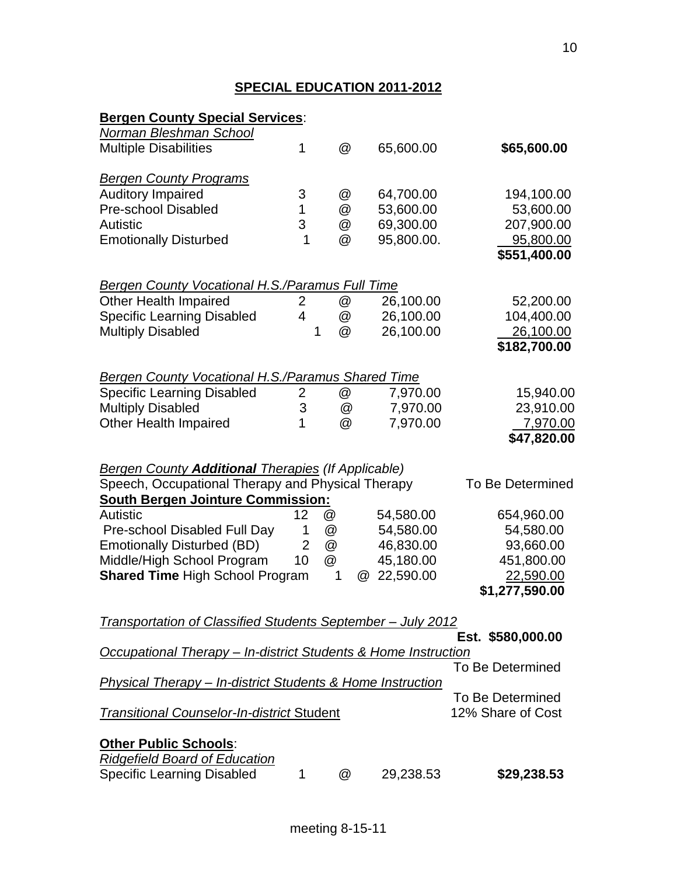# **SPECIAL EDUCATION 2011-2012**

| <b>Bergen County Special Services:</b>                                    |                |        |                       |                         |
|---------------------------------------------------------------------------|----------------|--------|-----------------------|-------------------------|
| <b>Norman Bleshman School</b>                                             |                |        |                       |                         |
| <b>Multiple Disabilities</b>                                              | 1              | @      | 65,600.00             | \$65,600.00             |
|                                                                           |                |        |                       |                         |
| <b>Bergen County Programs</b>                                             |                |        |                       |                         |
| <b>Auditory Impaired</b>                                                  | 3              | @      | 64,700.00             | 194,100.00              |
| <b>Pre-school Disabled</b>                                                | 1              | @      | 53,600.00             | 53,600.00               |
| <b>Autistic</b>                                                           | 3              | @      | 69,300.00             | 207,900.00              |
| <b>Emotionally Disturbed</b>                                              | 1              | @      | 95,800.00.            | 95,800.00               |
|                                                                           |                |        |                       | \$551,400.00            |
|                                                                           |                |        |                       |                         |
| <b>Bergen County Vocational H.S./Paramus Full Time</b>                    |                |        |                       |                         |
| <b>Other Health Impaired</b>                                              | 2              | @      | 26,100.00             | 52,200.00               |
| <b>Specific Learning Disabled</b>                                         | 4              | @      | 26,100.00             | 104,400.00              |
| <b>Multiply Disabled</b>                                                  |                | @<br>1 | 26,100.00             | 26,100.00               |
|                                                                           |                |        |                       | \$182,700.00            |
|                                                                           |                |        |                       |                         |
| Bergen County Vocational H.S./Paramus Shared Time                         |                |        |                       |                         |
| <b>Specific Learning Disabled</b>                                         | $\overline{2}$ | @      | 7,970.00              | 15,940.00               |
| <b>Multiply Disabled</b>                                                  | 3              | @      | 7,970.00              | 23,910.00               |
| <b>Other Health Impaired</b>                                              | 1              | @      | 7,970.00              | 7,970.00                |
|                                                                           |                |        |                       | \$47,820.00             |
|                                                                           |                |        |                       |                         |
| <b>Bergen County Additional Therapies (If Applicable)</b>                 |                |        |                       | To Be Determined        |
| Speech, Occupational Therapy and Physical Therapy                         |                |        |                       |                         |
| <b>South Bergen Jointure Commission:</b>                                  |                |        |                       |                         |
| <b>Autistic</b>                                                           | 12             | @      | 54,580.00             | 654,960.00              |
| Pre-school Disabled Full Day                                              | 1              | @      | 54,580.00             | 54,580.00               |
| <b>Emotionally Disturbed (BD)</b>                                         | $\overline{2}$ | @      | 46,830.00             | 93,660.00               |
| Middle/High School Program                                                | 10             | @      | 45,180.00             | 451,800.00              |
| <b>Shared Time High School Program</b>                                    |                | 1      | 22,590.00<br>$\omega$ | 22,590.00               |
|                                                                           |                |        |                       | \$1,277,590.00          |
|                                                                           |                |        |                       |                         |
| Transportation of Classified Students September - July 2012               |                |        |                       | Est. \$580,000.00       |
| <b>Occupational Therapy - In-district Students &amp; Home Instruction</b> |                |        |                       |                         |
|                                                                           |                |        |                       | <b>To Be Determined</b> |
| <b>Physical Therapy – In-district Students &amp; Home Instruction</b>     |                |        |                       |                         |
|                                                                           |                |        |                       | <b>To Be Determined</b> |
| Transitional Counselor-In-district Student                                |                |        |                       | 12% Share of Cost       |
|                                                                           |                |        |                       |                         |
| <b>Other Public Schools:</b>                                              |                |        |                       |                         |
| <b>Ridgefield Board of Education</b>                                      |                |        |                       |                         |
| <b>Specific Learning Disabled</b>                                         | 1              | @      | 29,238.53             | \$29,238.53             |
|                                                                           |                |        |                       |                         |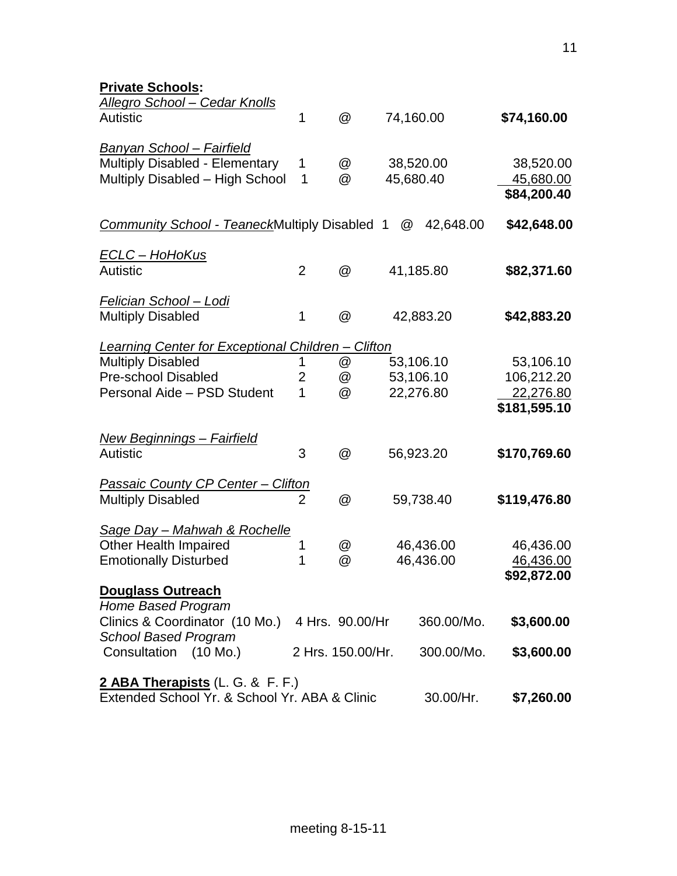| <b>Private Schools:</b>                                                           |                |                   |   |            |              |
|-----------------------------------------------------------------------------------|----------------|-------------------|---|------------|--------------|
| <b>Allegro School - Cedar Knolls</b>                                              |                |                   |   |            |              |
| <b>Autistic</b>                                                                   | 1              | @                 |   | 74,160.00  | \$74,160.00  |
| Banyan School - Fairfield                                                         |                |                   |   |            |              |
| <b>Multiply Disabled - Elementary</b>                                             | 1              | @                 |   | 38,520.00  | 38,520.00    |
| Multiply Disabled - High School                                                   | $\mathbf 1$    | @                 |   | 45,680.40  | 45,680.00    |
|                                                                                   |                |                   |   |            | \$84,200.40  |
| Community School - TeaneckMultiply Disabled 1                                     |                |                   | @ | 42,648.00  | \$42,648.00  |
| <u>ECLC – HoHoKus</u>                                                             |                |                   |   |            |              |
| <b>Autistic</b>                                                                   | $\overline{2}$ | @                 |   | 41,185.80  | \$82,371.60  |
| <u> Felician School – Lodi</u>                                                    |                |                   |   |            |              |
| <b>Multiply Disabled</b>                                                          | 1              | @                 |   | 42,883.20  | \$42,883.20  |
| Learning Center for Exceptional Children - Clifton                                |                |                   |   |            |              |
| <b>Multiply Disabled</b>                                                          | 1              | @                 |   | 53,106.10  | 53,106.10    |
| <b>Pre-school Disabled</b>                                                        | $\overline{2}$ | @                 |   | 53,106.10  | 106,212.20   |
| Personal Aide - PSD Student                                                       | 1              | @                 |   | 22,276.80  | 22,276.80    |
|                                                                                   |                |                   |   |            | \$181,595.10 |
| <u> New Beginnings – Fairfield</u>                                                |                |                   |   |            |              |
| <b>Autistic</b>                                                                   | 3              | @                 |   | 56,923.20  | \$170,769.60 |
| Passaic County CP Center - Clifton                                                |                |                   |   |            |              |
| <b>Multiply Disabled</b>                                                          | $\overline{2}$ | @                 |   | 59,738.40  | \$119,476.80 |
| <b>Sage Day - Mahwah &amp; Rochelle</b>                                           |                |                   |   |            |              |
| <b>Other Health Impaired</b>                                                      | 1              | @                 |   | 46,436.00  | 46,436.00    |
| <b>Emotionally Disturbed</b>                                                      | 1              | @                 |   | 46,436.00  | 46,436.00    |
|                                                                                   |                |                   |   |            | \$92,872.00  |
| <b>Douglass Outreach</b>                                                          |                |                   |   |            |              |
| Home Based Program                                                                |                |                   |   |            |              |
| Clinics & Coordinator (10 Mo.) 4 Hrs. 90.00/Hr                                    |                |                   |   | 360.00/Mo. | \$3,600.00   |
| <b>School Based Program</b><br>Consultation (10 Mo.)                              |                | 2 Hrs. 150.00/Hr. |   | 300.00/Mo. | \$3,600.00   |
|                                                                                   |                |                   |   |            |              |
| 2 ABA Therapists (L. G. & F. F.)<br>Extended School Yr. & School Yr. ABA & Clinic |                |                   |   | 30.00/Hr.  | \$7,260.00   |
|                                                                                   |                |                   |   |            |              |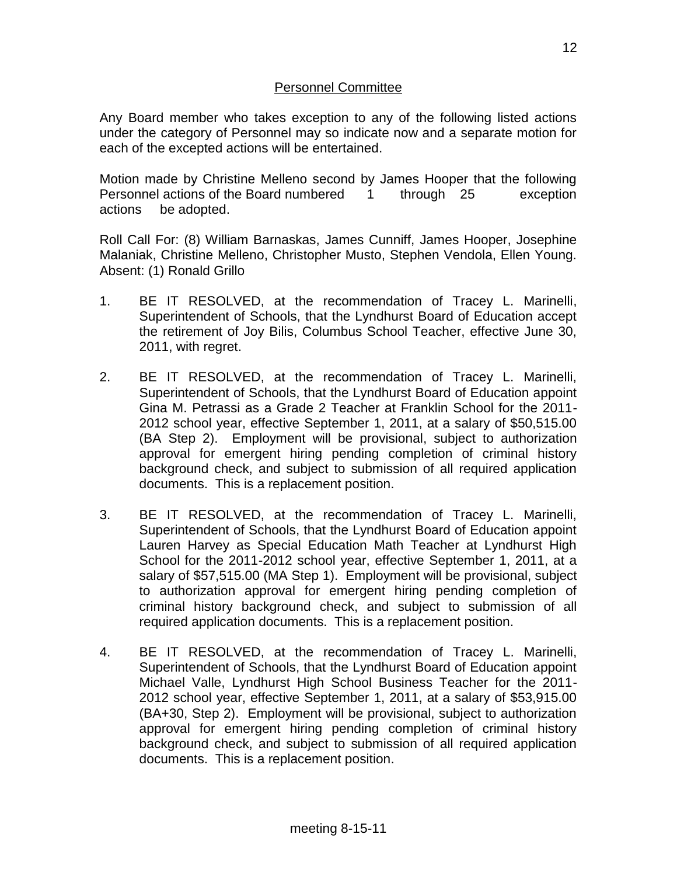Any Board member who takes exception to any of the following listed actions under the category of Personnel may so indicate now and a separate motion for each of the excepted actions will be entertained.

Motion made by Christine Melleno second by James Hooper that the following Personnel actions of the Board numbered 1 through 25 exception actions be adopted.

Roll Call For: (8) William Barnaskas, James Cunniff, James Hooper, Josephine Malaniak, Christine Melleno, Christopher Musto, Stephen Vendola, Ellen Young. Absent: (1) Ronald Grillo

- 1. BE IT RESOLVED, at the recommendation of Tracey L. Marinelli, Superintendent of Schools, that the Lyndhurst Board of Education accept the retirement of Joy Bilis, Columbus School Teacher, effective June 30, 2011, with regret.
- 2. BE IT RESOLVED, at the recommendation of Tracey L. Marinelli, Superintendent of Schools, that the Lyndhurst Board of Education appoint Gina M. Petrassi as a Grade 2 Teacher at Franklin School for the 2011- 2012 school year, effective September 1, 2011, at a salary of \$50,515.00 (BA Step 2). Employment will be provisional, subject to authorization approval for emergent hiring pending completion of criminal history background check, and subject to submission of all required application documents. This is a replacement position.
- 3. BE IT RESOLVED, at the recommendation of Tracey L. Marinelli, Superintendent of Schools, that the Lyndhurst Board of Education appoint Lauren Harvey as Special Education Math Teacher at Lyndhurst High School for the 2011-2012 school year, effective September 1, 2011, at a salary of \$57,515.00 (MA Step 1). Employment will be provisional, subject to authorization approval for emergent hiring pending completion of criminal history background check, and subject to submission of all required application documents. This is a replacement position.
- 4. BE IT RESOLVED, at the recommendation of Tracey L. Marinelli, Superintendent of Schools, that the Lyndhurst Board of Education appoint Michael Valle, Lyndhurst High School Business Teacher for the 2011- 2012 school year, effective September 1, 2011, at a salary of \$53,915.00 (BA+30, Step 2). Employment will be provisional, subject to authorization approval for emergent hiring pending completion of criminal history background check, and subject to submission of all required application documents. This is a replacement position.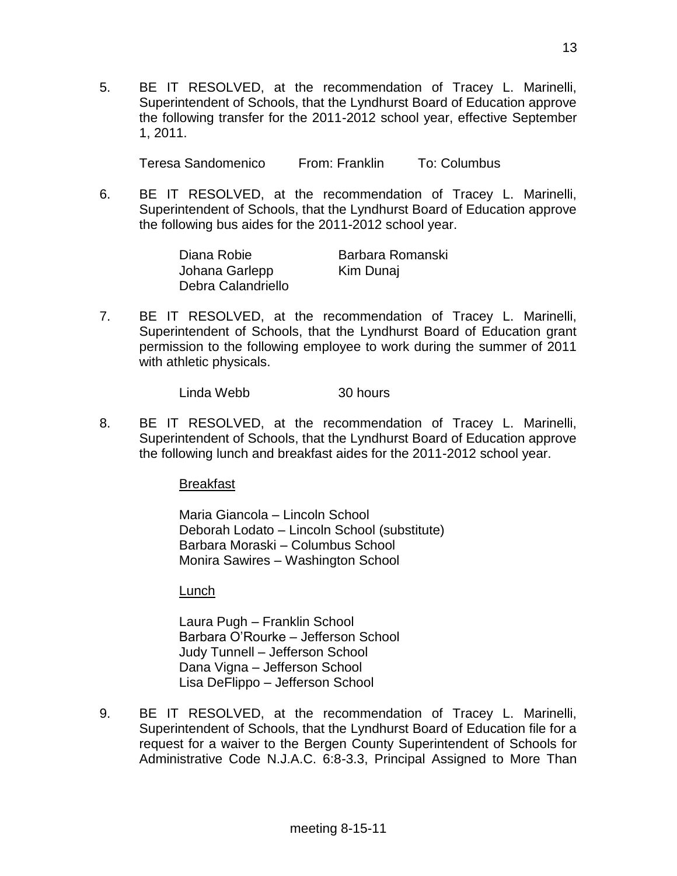5. BE IT RESOLVED, at the recommendation of Tracey L. Marinelli, Superintendent of Schools, that the Lyndhurst Board of Education approve the following transfer for the 2011-2012 school year, effective September 1, 2011.

Teresa Sandomenico From: Franklin To: Columbus

6. BE IT RESOLVED, at the recommendation of Tracey L. Marinelli, Superintendent of Schools, that the Lyndhurst Board of Education approve the following bus aides for the 2011-2012 school year.

| Diana Robie        | Barbara Romanski |
|--------------------|------------------|
| Johana Garlepp     | Kim Dunaj        |
| Debra Calandriello |                  |

7. BE IT RESOLVED, at the recommendation of Tracey L. Marinelli, Superintendent of Schools, that the Lyndhurst Board of Education grant permission to the following employee to work during the summer of 2011 with athletic physicals.

Linda Webb 30 hours

8. BE IT RESOLVED, at the recommendation of Tracey L. Marinelli, Superintendent of Schools, that the Lyndhurst Board of Education approve the following lunch and breakfast aides for the 2011-2012 school year.

Breakfast

Maria Giancola – Lincoln School Deborah Lodato – Lincoln School (substitute) Barbara Moraski – Columbus School Monira Sawires – Washington School

Lunch

Laura Pugh – Franklin School Barbara O'Rourke – Jefferson School Judy Tunnell – Jefferson School Dana Vigna – Jefferson School Lisa DeFlippo – Jefferson School

9. BE IT RESOLVED, at the recommendation of Tracey L. Marinelli, Superintendent of Schools, that the Lyndhurst Board of Education file for a request for a waiver to the Bergen County Superintendent of Schools for Administrative Code N.J.A.C. 6:8-3.3, Principal Assigned to More Than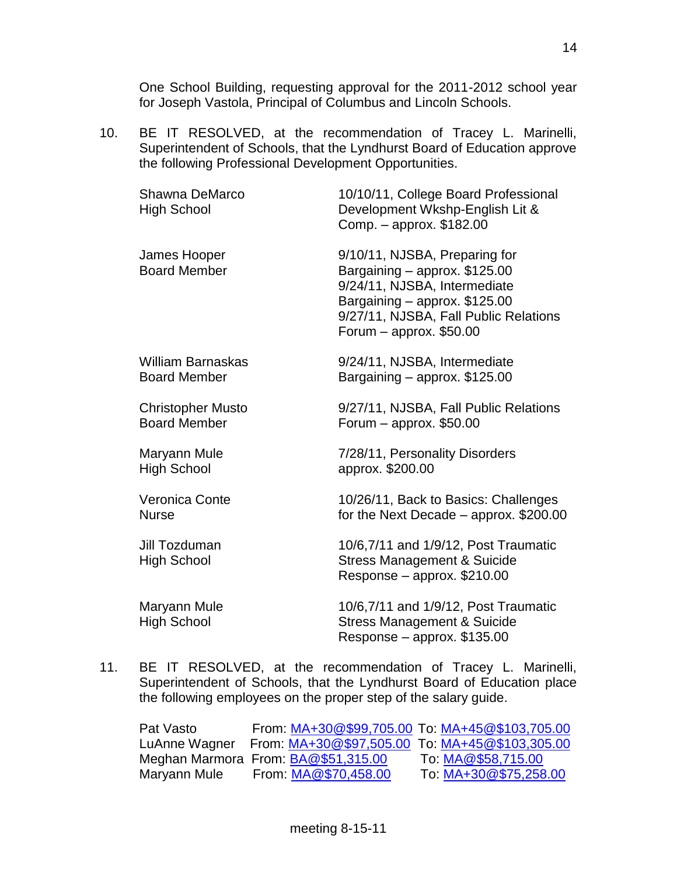One School Building, requesting approval for the 2011-2012 school year for Joseph Vastola, Principal of Columbus and Lincoln Schools.

10. BE IT RESOLVED, at the recommendation of Tracey L. Marinelli, Superintendent of Schools, that the Lyndhurst Board of Education approve the following Professional Development Opportunities.

| Shawna DeMarco<br><b>High School</b> | 10/10/11, College Board Professional<br>Development Wkshp-English Lit &<br>Comp. - approx. \$182.00                                                                                                   |
|--------------------------------------|-------------------------------------------------------------------------------------------------------------------------------------------------------------------------------------------------------|
| James Hooper<br><b>Board Member</b>  | 9/10/11, NJSBA, Preparing for<br>Bargaining - approx. \$125.00<br>9/24/11, NJSBA, Intermediate<br>Bargaining - approx. \$125.00<br>9/27/11, NJSBA, Fall Public Relations<br>Forum $-$ approx. \$50.00 |
| <b>William Barnaskas</b>             | 9/24/11, NJSBA, Intermediate                                                                                                                                                                          |
| <b>Board Member</b>                  | Bargaining - approx. \$125.00                                                                                                                                                                         |
| <b>Christopher Musto</b>             | 9/27/11, NJSBA, Fall Public Relations                                                                                                                                                                 |
| <b>Board Member</b>                  | Forum $-$ approx. \$50.00                                                                                                                                                                             |
| Maryann Mule                         | 7/28/11, Personality Disorders                                                                                                                                                                        |
| <b>High School</b>                   | approx. \$200.00                                                                                                                                                                                      |
| <b>Veronica Conte</b>                | 10/26/11, Back to Basics: Challenges                                                                                                                                                                  |
| <b>Nurse</b>                         | for the Next Decade - approx. \$200.00                                                                                                                                                                |
| Jill Tozduman<br><b>High School</b>  | 10/6,7/11 and 1/9/12, Post Traumatic<br><b>Stress Management &amp; Suicide</b><br>Response - approx. \$210.00                                                                                         |
| Maryann Mule<br><b>High School</b>   | 10/6,7/11 and 1/9/12, Post Traumatic<br><b>Stress Management &amp; Suicide</b><br>Response – approx. \$135.00                                                                                         |

11. BE IT RESOLVED, at the recommendation of Tracey L. Marinelli, Superintendent of Schools, that the Lyndhurst Board of Education place the following employees on the proper step of the salary guide.

Pat Vasto From: [MA+30@\\$99,705.00](mailto:MA+30@$99,705.00) To: [MA+45@\\$103,705.00](mailto:MA+45@$103,705.00) LuAnne Wagner From: [MA+30@\\$97,505.00](mailto:MA+30@$97,505.00) To: [MA+45@\\$103,305.00](mailto:MA+45@$103,305.00) Meghan Marmora From: [BA@\\$51,315.00](mailto:BA@$51,315.00) To: [MA@\\$58,715.00](mailto:MA@$58,715.00) Maryann Mule From: [MA@\\$70,458.00](mailto:MA@$70,458.00) To: [MA+30@\\$75,258.00](mailto:MA+30@$75,258.00)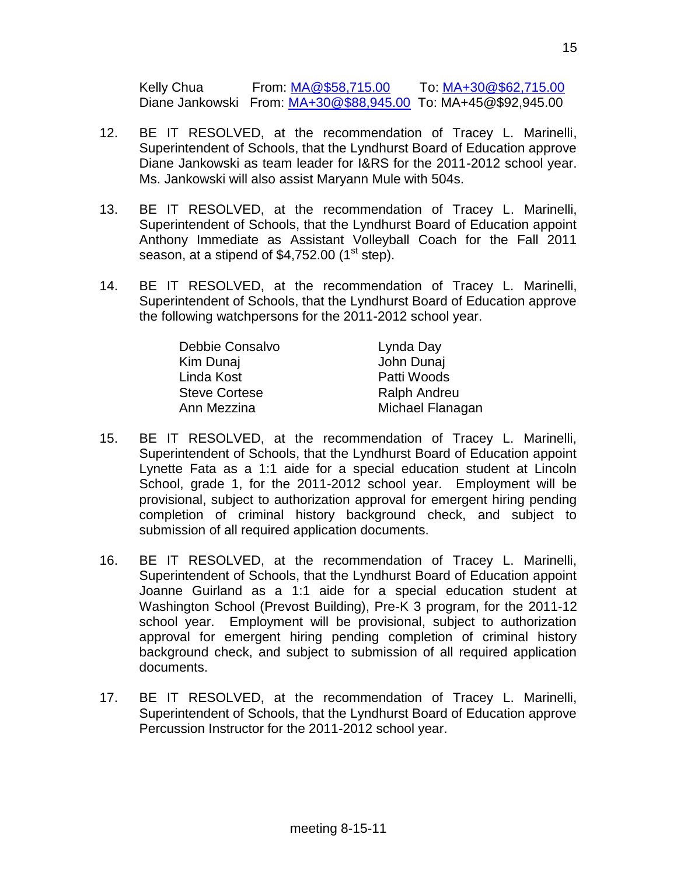Kelly Chua From: [MA@\\$58,715.00](mailto:MA@$58,715.00) To: [MA+30@\\$62,715.00](mailto:MA+30@$62,715.00) Diane Jankowski From: [MA+30@\\$88,945.00](mailto:MA+30@$88,945.00) To: MA+45@\$92,945.00

- 12. BE IT RESOLVED, at the recommendation of Tracey L. Marinelli, Superintendent of Schools, that the Lyndhurst Board of Education approve Diane Jankowski as team leader for I&RS for the 2011-2012 school year. Ms. Jankowski will also assist Maryann Mule with 504s.
- 13. BE IT RESOLVED, at the recommendation of Tracey L. Marinelli, Superintendent of Schools, that the Lyndhurst Board of Education appoint Anthony Immediate as Assistant Volleyball Coach for the Fall 2011 season, at a stipend of  $$4,752.00$  (1<sup>st</sup> step).
- 14. BE IT RESOLVED, at the recommendation of Tracey L. Marinelli, Superintendent of Schools, that the Lyndhurst Board of Education approve the following watchpersons for the 2011-2012 school year.

| Debbie Consalvo      | Lynda Day           |
|----------------------|---------------------|
| Kim Dunaj            | John Dunaj          |
| Linda Kost           | Patti Woods         |
| <b>Steve Cortese</b> | <b>Ralph Andreu</b> |
| Ann Mezzina          | Michael Flanagan    |

- 15. BE IT RESOLVED, at the recommendation of Tracey L. Marinelli, Superintendent of Schools, that the Lyndhurst Board of Education appoint Lynette Fata as a 1:1 aide for a special education student at Lincoln School, grade 1, for the 2011-2012 school year. Employment will be provisional, subject to authorization approval for emergent hiring pending completion of criminal history background check, and subject to submission of all required application documents.
- 16. BE IT RESOLVED, at the recommendation of Tracey L. Marinelli, Superintendent of Schools, that the Lyndhurst Board of Education appoint Joanne Guirland as a 1:1 aide for a special education student at Washington School (Prevost Building), Pre-K 3 program, for the 2011-12 school year. Employment will be provisional, subject to authorization approval for emergent hiring pending completion of criminal history background check, and subject to submission of all required application documents.
- 17. BE IT RESOLVED, at the recommendation of Tracey L. Marinelli, Superintendent of Schools, that the Lyndhurst Board of Education approve Percussion Instructor for the 2011-2012 school year.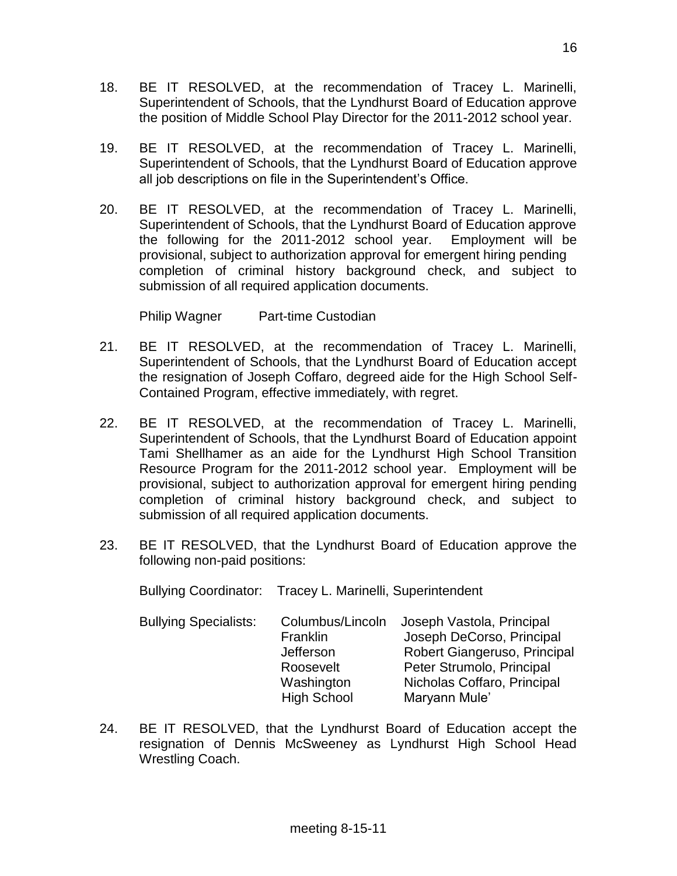- 18. BE IT RESOLVED, at the recommendation of Tracey L. Marinelli, Superintendent of Schools, that the Lyndhurst Board of Education approve the position of Middle School Play Director for the 2011-2012 school year.
- 19. BE IT RESOLVED, at the recommendation of Tracey L. Marinelli, Superintendent of Schools, that the Lyndhurst Board of Education approve all job descriptions on file in the Superintendent's Office.
- 20. BE IT RESOLVED, at the recommendation of Tracey L. Marinelli, Superintendent of Schools, that the Lyndhurst Board of Education approve the following for the 2011-2012 school year. Employment will be provisional, subject to authorization approval for emergent hiring pending completion of criminal history background check, and subject to submission of all required application documents.

Philip Wagner Part-time Custodian

- 21. BE IT RESOLVED, at the recommendation of Tracey L. Marinelli, Superintendent of Schools, that the Lyndhurst Board of Education accept the resignation of Joseph Coffaro, degreed aide for the High School Self-Contained Program, effective immediately, with regret.
- 22. BE IT RESOLVED, at the recommendation of Tracey L. Marinelli, Superintendent of Schools, that the Lyndhurst Board of Education appoint Tami Shellhamer as an aide for the Lyndhurst High School Transition Resource Program for the 2011-2012 school year. Employment will be provisional, subject to authorization approval for emergent hiring pending completion of criminal history background check, and subject to submission of all required application documents.
- 23. BE IT RESOLVED, that the Lyndhurst Board of Education approve the following non-paid positions:

Bullying Coordinator: Tracey L. Marinelli, Superintendent

- Bullying Specialists: Columbus/Lincoln Joseph Vastola, Principal Franklin Joseph DeCorso, Principal Jefferson Robert Giangeruso, Principal Roosevelt Peter Strumolo, Principal Washington Nicholas Coffaro, Principal High School Maryann Mule'
- 24. BE IT RESOLVED, that the Lyndhurst Board of Education accept the resignation of Dennis McSweeney as Lyndhurst High School Head Wrestling Coach.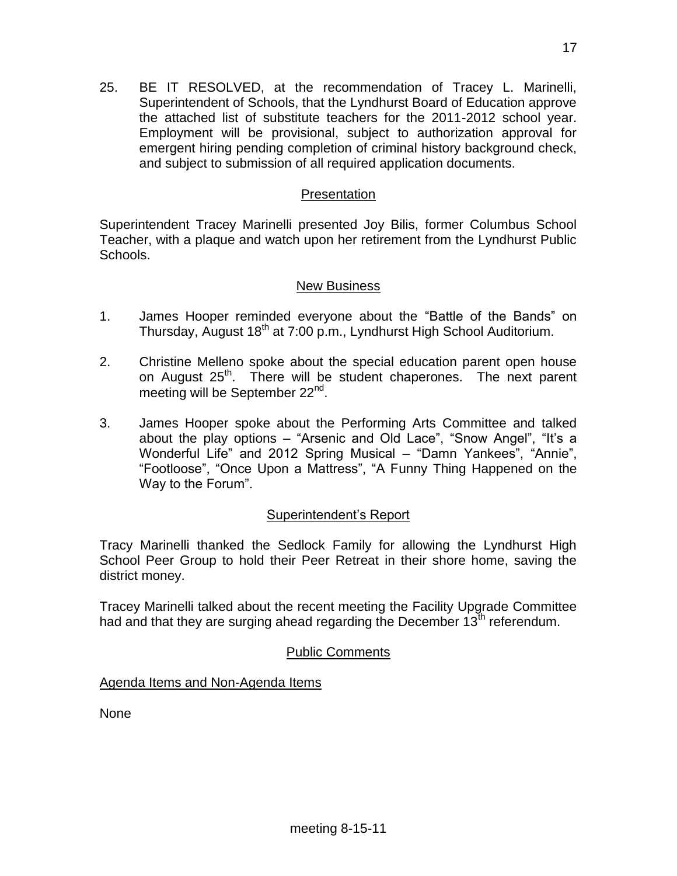25. BE IT RESOLVED, at the recommendation of Tracey L. Marinelli, Superintendent of Schools, that the Lyndhurst Board of Education approve the attached list of substitute teachers for the 2011-2012 school year. Employment will be provisional, subject to authorization approval for emergent hiring pending completion of criminal history background check, and subject to submission of all required application documents.

# **Presentation**

Superintendent Tracey Marinelli presented Joy Bilis, former Columbus School Teacher, with a plaque and watch upon her retirement from the Lyndhurst Public Schools.

#### New Business

- 1. James Hooper reminded everyone about the "Battle of the Bands" on Thursday, August 18<sup>th</sup> at 7:00 p.m., Lyndhurst High School Auditorium.
- 2. Christine Melleno spoke about the special education parent open house on August 25<sup>th</sup>. There will be student chaperones. The next parent meeting will be September 22<sup>nd</sup>.
- 3. James Hooper spoke about the Performing Arts Committee and talked about the play options – "Arsenic and Old Lace", "Snow Angel", "It's a Wonderful Life" and 2012 Spring Musical – "Damn Yankees", "Annie", "Footloose", "Once Upon a Mattress", "A Funny Thing Happened on the Way to the Forum".

## Superintendent's Report

Tracy Marinelli thanked the Sedlock Family for allowing the Lyndhurst High School Peer Group to hold their Peer Retreat in their shore home, saving the district money.

Tracey Marinelli talked about the recent meeting the Facility Upgrade Committee had and that they are surging ahead regarding the December  $13^{th}$  referendum.

# Public Comments

Agenda Items and Non-Agenda Items

None